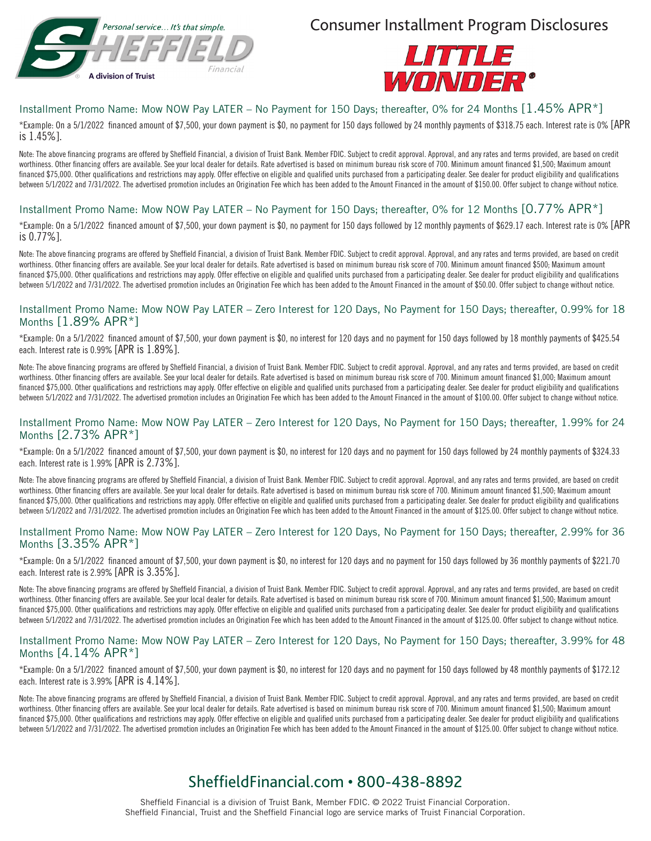

Consumer Installment Program Disclosures



## Installment Promo Name: Mow NOW Pay LATER – No Payment for 150 Days; thereafter, 0% for 24 Months [1.45% APR\*]

\*Example: On a 5/1/2022 financed amount of \$7,500, your down payment is \$0, no payment for 150 days followed by 24 monthly payments of \$318.75 each. Interest rate is 0% [APR is 1.45%].

Note: The above financing programs are offered by Sheffield Financial, a division of Truist Bank. Member FDIC. Subject to credit approval. Approval, and any rates and terms provided, are based on credit worthiness. Other financing offers are available. See your local dealer for details. Rate advertised is based on minimum bureau risk score of 700. Minimum amount financed \$1,500; Maximum amount financed \$75,000. Other qualifications and restrictions may apply. Offer effective on eligible and qualified units purchased from a participating dealer. See dealer for product eligibility and qualifications between 5/1/2022 and 7/31/2022. The advertised promotion includes an Origination Fee which has been added to the Amount Financed in the amount of \$150.00. Offer subject to change without notice.

## Installment Promo Name: Mow NOW Pay LATER – No Payment for 150 Days; thereafter, 0% for 12 Months [0.77% APR\*]

\*Example: On a 5/1/2022 financed amount of \$7,500, your down payment is \$0, no payment for 150 days followed by 12 monthly payments of \$629.17 each. Interest rate is 0% [APR is 0.77%].

Note: The above financing programs are offered by Sheffield Financial, a division of Truist Bank. Member FDIC. Subject to credit approval. Approval, and any rates and terms provided, are based on credit worthiness. Other financing offers are available. See your local dealer for details. Rate advertised is based on minimum bureau risk score of 700. Minimum amount financed \$500; Maximum amount financed \$75,000. Other qualifications and restrictions may apply. Offer effective on eligible and qualified units purchased from a participating dealer. See dealer for product eligibility and qualifications between 5/1/2022 and 7/31/2022. The advertised promotion includes an Origination Fee which has been added to the Amount Financed in the amount of \$50.00. Offer subject to change without notice.

### Installment Promo Name: Mow NOW Pay LATER – Zero Interest for 120 Days, No Payment for 150 Days; thereafter, 0.99% for 18 Months [1.89% APR\*]

\*Example: On a 5/1/2022 financed amount of \$7,500, your down payment is \$0, no interest for 120 days and no payment for 150 days followed by 18 monthly payments of \$425.54 each. Interest rate is 0.99% [APR is 1.89%].

Note: The above financing programs are offered by Sheffield Financial, a division of Truist Bank. Member FDIC. Subject to credit approval. Approval, and any rates and terms provided, are based on credit worthiness. Other financing offers are available. See your local dealer for details. Rate advertised is based on minimum bureau risk score of 700. Minimum amount financed \$1,000; Maximum amount financed \$75,000. Other qualifications and restrictions may apply. Offer effective on eligible and qualified units purchased from a participating dealer. See dealer for product eligibility and qualifications between 5/1/2022 and 7/31/2022. The advertised promotion includes an Origination Fee which has been added to the Amount Financed in the amount of \$100.00. Offer subject to change without notice.

#### Installment Promo Name: Mow NOW Pay LATER – Zero Interest for 120 Days, No Payment for 150 Days; thereafter, 1.99% for 24 Months [2.73% APR\*]

\*Example: On a 5/1/2022 financed amount of \$7,500, your down payment is \$0, no interest for 120 days and no payment for 150 days followed by 24 monthly payments of \$324.33 each. Interest rate is 1.99% [APR is 2.73%].

Note: The above financing programs are offered by Sheffield Financial, a division of Truist Bank. Member FDIC. Subject to credit approval. Approval, and any rates and terms provided, are based on credit worthiness. Other financing offers are available. See your local dealer for details. Rate advertised is based on minimum bureau risk score of 700. Minimum amount financed \$1,500; Maximum amount financed \$75,000. Other qualifications and restrictions may apply. Offer effective on eligible and qualified units purchased from a participating dealer. See dealer for product eligibility and qualifications between 5/1/2022 and 7/31/2022. The advertised promotion includes an Origination Fee which has been added to the Amount Financed in the amount of \$125.00. Offer subject to change without notice.

#### Installment Promo Name: Mow NOW Pay LATER – Zero Interest for 120 Days, No Payment for 150 Days; thereafter, 2.99% for 36 Months [3.35% APR\*]

\*Example: On a 5/1/2022 financed amount of \$7,500, your down payment is \$0, no interest for 120 days and no payment for 150 days followed by 36 monthly payments of \$221.70 each. Interest rate is 2.99% [APR is 3.35%].

Note: The above financing programs are offered by Sheffield Financial, a division of Truist Bank. Member FDIC. Subject to credit approval. Approval, and any rates and terms provided, are based on credit worthiness. Other financing offers are available. See your local dealer for details. Rate advertised is based on minimum bureau risk score of 700. Minimum amount financed \$1,500; Maximum amount financed \$75,000. Other qualifications and restrictions may apply. Offer effective on eligible and qualified units purchased from a participating dealer. See dealer for product eligibility and qualifications between 5/1/2022 and 7/31/2022. The advertised promotion includes an Origination Fee which has been added to the Amount Financed in the amount of \$125.00. Offer subject to change without notice.

#### Installment Promo Name: Mow NOW Pay LATER – Zero Interest for 120 Days, No Payment for 150 Days; thereafter, 3.99% for 48 Months [4.14% APR\*]

\*Example: On a 5/1/2022 financed amount of \$7,500, your down payment is \$0, no interest for 120 days and no payment for 150 days followed by 48 monthly payments of \$172.12 each. Interest rate is 3.99% [APR is 4.14%].

Note: The above financing programs are offered by Sheffield Financial, a division of Truist Bank. Member FDIC. Subject to credit approval. Approval, and any rates and terms provided, are based on credit worthiness. Other financing offers are available. See your local dealer for details. Rate advertised is based on minimum bureau risk score of 700. Minimum amount financed \$1,500; Maximum amount financed \$75,000. Other qualifications and restrictions may apply. Offer effective on eligible and qualified units purchased from a participating dealer. See dealer for product eligibility and qualifications between 5/1/2022 and 7/31/2022. The advertised promotion includes an Origination Fee which has been added to the Amount Financed in the amount of \$125.00. Offer subject to change without notice.

# SheffieldFinancial.com • 800-438-8892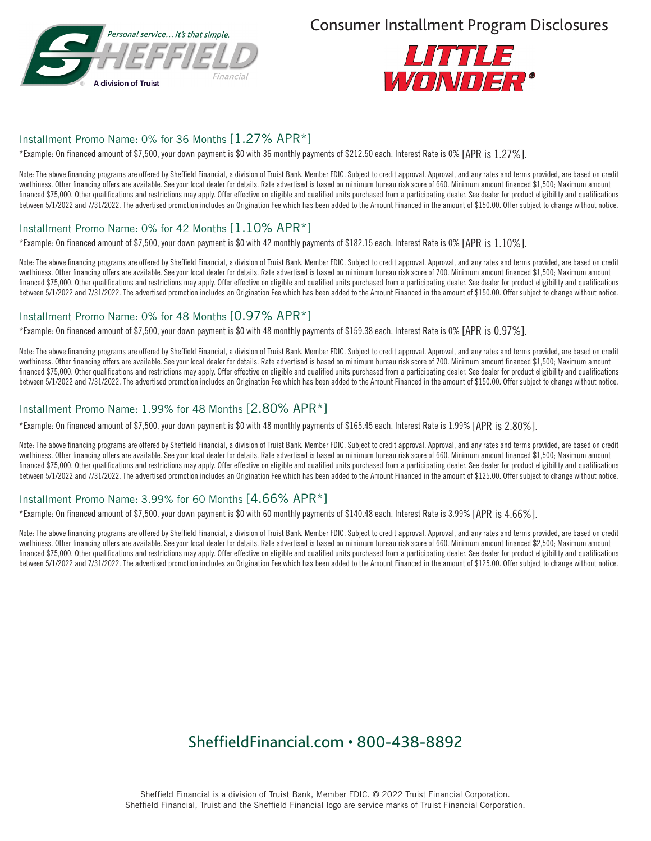

Consumer Installment Program Disclosures



## Installment Promo Name: 0% for 36 Months [1.27% APR\*]

\*Example: On financed amount of \$7,500, your down payment is \$0 with 36 monthly payments of \$212.50 each. Interest Rate is 0% [APR is 1.27%].

Note: The above financing programs are offered by Sheffield Financial, a division of Truist Bank. Member FDIC. Subject to credit approval. Approval, and any rates and terms provided, are based on credit worthiness. Other financing offers are available. See your local dealer for details. Rate advertised is based on minimum bureau risk score of 660. Minimum amount financed \$1,500; Maximum amount financed \$75,000. Other qualifications and restrictions may apply. Offer effective on eligible and qualified units purchased from a participating dealer. See dealer for product eligibility and qualifications between 5/1/2022 and 7/31/2022. The advertised promotion includes an Origination Fee which has been added to the Amount Financed in the amount of \$150.00. Offer subject to change without notice.

### Installment Promo Name: 0% for 42 Months [1.10% APR\*]

\*Example: On financed amount of \$7,500, your down payment is \$0 with 42 monthly payments of \$182.15 each. Interest Rate is 0% [APR is 1.10%].

Note: The above financing programs are offered by Sheffield Financial, a division of Truist Bank. Member FDIC. Subject to credit approval. Approval, and any rates and terms provided, are based on credit worthiness. Other financing offers are available. See your local dealer for details. Rate advertised is based on minimum bureau risk score of 700. Minimum amount financed \$1,500; Maximum amount financed \$75,000. Other qualifications and restrictions may apply. Offer effective on eligible and qualified units purchased from a participating dealer. See dealer for product eligibility and qualifications between 5/1/2022 and 7/31/2022. The advertised promotion includes an Origination Fee which has been added to the Amount Financed in the amount of \$150.00. Offer subject to change without notice.

## Installment Promo Name: 0% for 48 Months [0.97% APR\*]

\*Example: On financed amount of \$7,500, your down payment is \$0 with 48 monthly payments of \$159.38 each. Interest Rate is 0% [APR is 0.97%].

Note: The above financing programs are offered by Sheffield Financial, a division of Truist Bank. Member FDIC. Subject to credit approval. Approval, and any rates and terms provided, are based on credit worthiness. Other financing offers are available. See your local dealer for details. Rate advertised is based on minimum bureau risk score of 700. Minimum amount financed \$1,500; Maximum amount financed \$75,000. Other qualifications and restrictions may apply. Offer effective on eligible and qualified units purchased from a participating dealer. See dealer for product eligibility and qualifications between 5/1/2022 and 7/31/2022. The advertised promotion includes an Origination Fee which has been added to the Amount Financed in the amount of \$150.00. Offer subject to change without notice.

## Installment Promo Name: 1.99% for 48 Months [2.80% APR\*]

\*Example: On financed amount of \$7,500, your down payment is \$0 with 48 monthly payments of \$165.45 each. Interest Rate is 1.99% [APR is 2.80%].

Note: The above financing programs are offered by Sheffield Financial, a division of Truist Bank. Member FDIC. Subject to credit approval. Approval, and any rates and terms provided, are based on credit worthiness. Other financing offers are available. See your local dealer for details. Rate advertised is based on minimum bureau risk score of 660. Minimum amount financed \$1,500; Maximum amount financed \$75,000. Other qualifications and restrictions may apply. Offer effective on eligible and qualified units purchased from a participating dealer. See dealer for product eligibility and qualifications between 5/1/2022 and 7/31/2022. The advertised promotion includes an Origination Fee which has been added to the Amount Financed in the amount of \$125.00. Offer subject to change without notice.

# Installment Promo Name: 3.99% for 60 Months [4.66% APR\*]

\*Example: On financed amount of \$7,500, your down payment is \$0 with 60 monthly payments of \$140.48 each. Interest Rate is 3.99% [APR is 4.66%].

Note: The above financing programs are offered by Sheffield Financial, a division of Truist Bank. Member FDIC. Subject to credit approval. Approval, and any rates and terms provided, are based on credit worthiness. Other financing offers are available. See your local dealer for details. Rate advertised is based on minimum bureau risk score of 660. Minimum amount financed \$2,500; Maximum amount financed \$75,000. Other qualifications and restrictions may apply. Offer effective on eligible and qualified units purchased from a participating dealer. See dealer for product eligibility and qualifications between 5/1/2022 and 7/31/2022. The advertised promotion includes an Origination Fee which has been added to the Amount Financed in the amount of \$125.00. Offer subject to change without notice.

# SheffieldFinancial.com • 800-438-8892